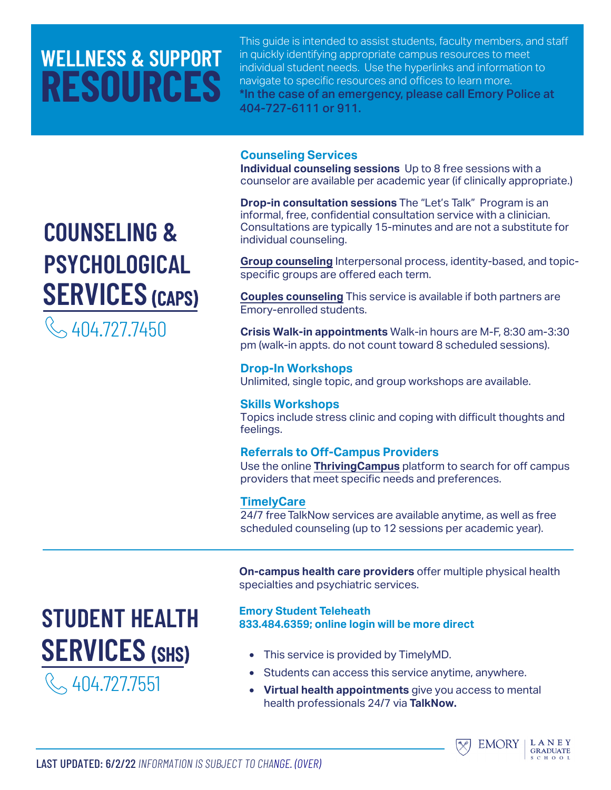# **WELLNESS & SUPPORT RESOURCES**

This guide is intended to assist students, faculty members, and staff in quickly identifying appropriate campus resources to meet individual student needs. Use the hyperlinks and information to navigate to specific resources and offices to learn more. \*In the case of an emergency, please call Emory Police at 404-727-6111 or 911.

#### **Counseling Services**

**Individual counseling sessions** Up to 8 free sessions with a counselor are available per academic year (if clinically appropriate.)

**Drop-in consultation sessions** The ["Let's Talk"](https://counseling.emory.edu/community/index.html) Program is an informal, free, confidential consultation service with a clinician. Consultations are typically 15-minutes and are not a substitute for individual counseling.

**[Group counseling](http://counseling.emory.edu/services/groups.html)** Interpersonal process, identity-based, and topicspecific groups are offered each term.

**[Couples counseling](https://counseling.emory.edu/services/couples.html)** This service is available if both partners are Emory-enrolled students.

**Crisis Walk-in appointments** Walk-in hours are M-F, 8:30 am-3:30 pm (walk-in appts. do not count toward 8 scheduled sessions).

**[Drop-In Workshop](https://counseling.emory.edu/community/index.html)s** Unlimited, single topic, and group workshops are available.

#### **[Skills Workshops](http://counseling.emory.edu/services/referrals.html)**

Topics include stress clinic and coping with difficult thoughts and feelings.

#### **Referrals to Off-Campus Providers**

Use the online **[ThrivingCampus](https://www.thrivingcampus.com/)** platform to search for off campus providers that meet specific needs and preferences.

#### **[TimelyCare](http://timelycare.com/emory)**

24/7 free TalkNow services are available anytime, as well as free scheduled counseling (up to 12 sessions per academic year).

**On-campus health care providers** offer multiple physical health specialties and psychiatric services.

#### **Emory Student Teleheath [833.484.6359; online login](https://www.timely.md/faq/emory/) will be more direct**

- This service is provided by TimelyMD.
- Students can access this service anytime, anywhere.
- **Virtual health appointments** give you access to mental health professionals 24/7 via **TalkNow.**



 $H$   $\Omega$   $\Omega$ 

# **COUNSELING & [PSYCHOLOGICAL](http://counseling.emory.edu/) SERVICES** (CAPS)

 $\sim$  404.727.7450

**[STUDENT HEALTH](http://studenthealth.emory.edu/hs/about/index.html)**

**SERVICES** (SHS)

404.727.7551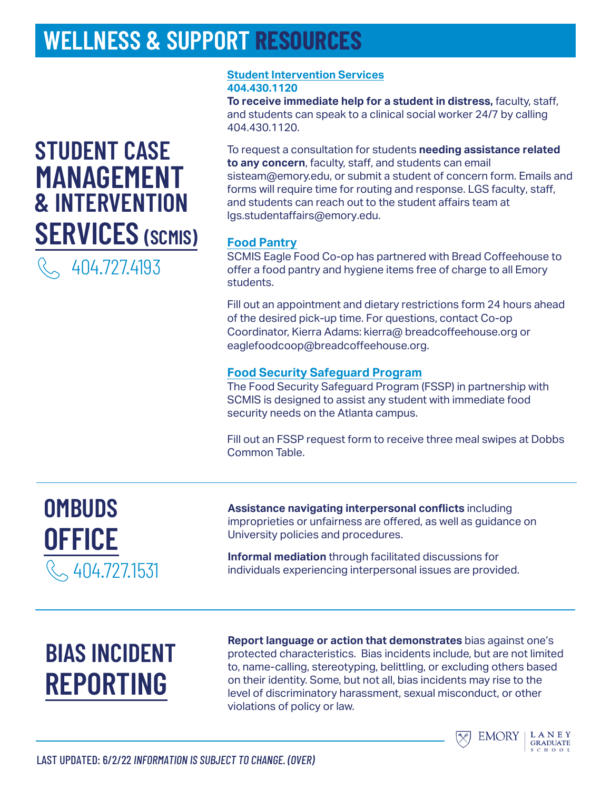### **WELLNESS & SUPPORT RESOURCES**

### **STUDENT CASE [MANAGEMENT](http://success.emory.edu/) & INTERVENTION SERVICES (SCMIS)**

404.727.4193

#### **[Student Intervention Services](http://success.emory.edu/services/sis.html) 404.430.1120**

**To receive immediate help for a student in distress,** faculty, staff, and students can speak to a clinical social worker 24/7 by calling 404.430.1120.

To request a consultation for students **needing assistance related to any concern**, faculty, staff, and students can email sisteam@emory.edu, or submit a student of concern form. Emails and [forms will require time for routing](https://emory-advocate.symplicity.com/care_report/index.php/pid333581?) and response. LGS faculty, staff, and students can reach out to the student affairs team at [lgs.studentaffairs@em](jcason2@emory.edu)ory.edu.

### **[Food Pantry](http://campuslife.emory.edu/resources/financial.html)**

SCMIS Eagle Food Co-op has partnered with Bread Coffeehouse to offer a food pantry and hygiene items free of charge to all Emory students.

Fill out an [appointment](https://docs.google.com/forms/d/e/1FAIpQLSdQW72OqDyCctTq87HmSC_atl-sRs26DaWqp06AS32KB4JZzw/viewform) and dietary restrictions form 24 hours ahead of the desired pick-up time. For questions, contact Co-op [Coordinator, Kierra Adams](mailto:kierra@breadcoffeehouse.org): kierra@ [breadcoffeehouse.org or](mailto:eaglefoodcoop@breadcoffeehouse.org) eaglefoodcoop@breadcoffeehouse.org.

### **[Food Security Safeguard Program](https://dining.emory.edu/resources/FSSP.html)**

The Food Security Safeguard Program (FSSP) in partnership with SCMIS is designed to assist any student with immediate food security needs on the Atlanta campus.

Fill out an [FSSP request](https://www.onecard.emory.edu/ecard/FSSP/) form to receive three meal swipes at Dobbs Common Table.

### **OMBUDS [OFFICE](https://ombuds.emory.edu/)**  404.727.1531

**Assistance navigating interpersonal conflicts** including improprieties or unfairness are offered, as well as guidance on University policies and procedures.

**Informal mediation** through facilitated discussions for individuals experiencing interpersonal issues are provided.

# **BIAS INCIDENT [REPORTING](http://campuslife.emory.edu/about/initiatives/programs/bias.html)**

**Report language or action that demonstrates** bias against one's protected characteristics. Bias incidents include, but are not limited to, name-calling, stereotyping, belittling, or excluding others based on their identity. Some, but not all, bias incidents may rise to the level of discriminatory harassment, sexual misconduct, or other violations of policy or law.